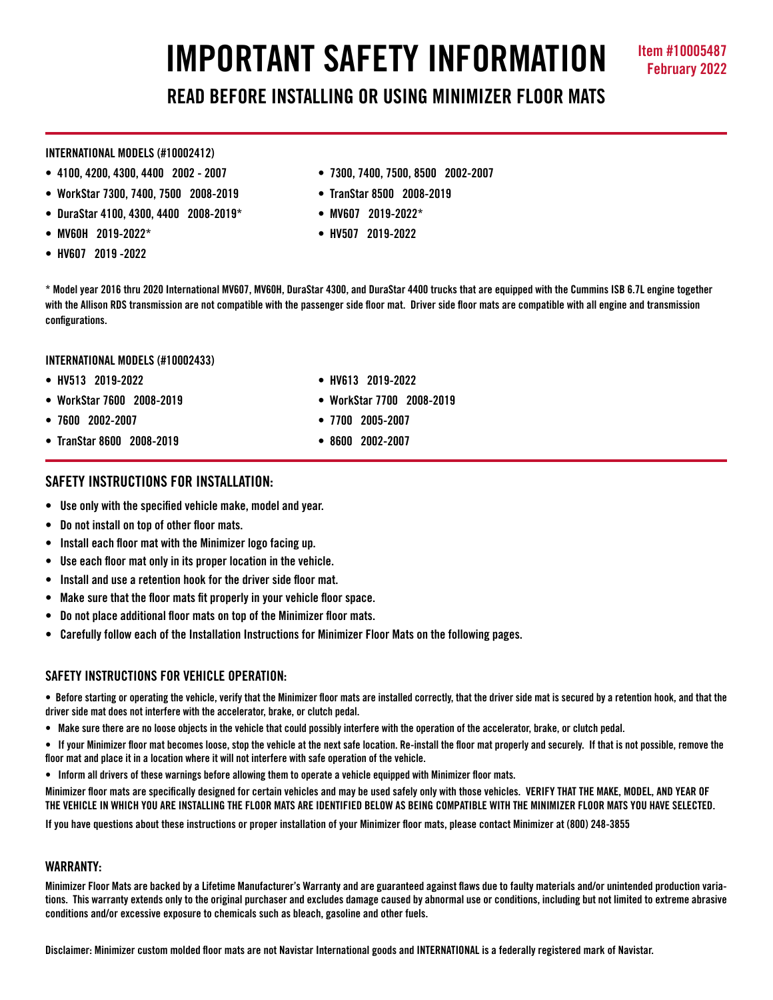# **IMPORTANT SAFETY INFORMATION Item #10005487**

**READ BEFORE INSTALLING OR USING MINIMIZER FLOOR MATS**

#### **INTERNATIONAL MODELS (#10002412)**

- 
- **WorkStar 7300, 7400, 7500 2008-2019 TranStar 8500 2008-2019**
- **DuraStar 4100, 4300, 4400 2008-2019\* MV607 2019-2022\***
- **MV60H 2019-2022\* HV507 2019-2022**
- **HV607 2019 -2022**
- **4100, 4200, 4300, 4400 2002 2007 7300, 7400, 7500, 8500 2002-2007**
	-
	-
	-

**\* Model year 2016 thru 2020 International MV607, MV60H, DuraStar 4300, and DuraStar 4400 trucks that are equipped with the Cummins ISB 6.7L engine together with the Allison RDS transmission are not compatible with the passenger side floor mat. Driver side floor mats are compatible with all engine and transmission configurations.**

## **INTERNATIONAL MODELS (#10002433)**

- **HV513 2019-2022 HV613 2019-2022**
- **WorkStar 7600 2008-2019 WorkStar 7700 2008-2019**
- **7600 2002-2007 7700 2005-2007**
- **TranStar 8600 2008-2019 8600 2002-2007**
- 
- 
- 

# **SAFETY INSTRUCTIONS FOR INSTALLATION:**

- **Use only with the specified vehicle make, model and year.**
- **Do not install on top of other floor mats.**
- **Install each floor mat with the Minimizer logo facing up.**
- **Use each floor mat only in its proper location in the vehicle.**
- **Install and use a retention hook for the driver side floor mat.**
- **Make sure that the floor mats fit properly in your vehicle floor space.**
- **Do not place additional floor mats on top of the Minimizer floor mats.**
- **Carefully follow each of the Installation Instructions for Minimizer Floor Mats on the following pages.**

## **SAFFTY INSTRUCTIONS FOR VEHICLE OPERATION:**

**• Before starting or operating the vehicle, verify that the Minimizer floor mats are installed correctly, that the driver side mat is secured by a retention hook, and that the driver side mat does not interfere with the accelerator, brake, or clutch pedal.**

**• Make sure there are no loose objects in the vehicle that could possibly interfere with the operation of the accelerator, brake, or clutch pedal.**

**• If your Minimizer floor mat becomes loose, stop the vehicle at the next safe location. Re-install the floor mat properly and securely. If that is not possible, remove the floor mat and place it in a location where it will not interfere with safe operation of the vehicle.**

**• Inform all drivers of these warnings before allowing them to operate a vehicle equipped with Minimizer floor mats.**

**Minimizer floor mats are specifically designed for certain vehicles and may be used safely only with those vehicles. VERIFY THAT THE MAKE, MODEL, AND YEAR OF THE VEHICLE IN WHICH YOU ARE INSTALLING THE FLOOR MATS ARE IDENTIFIED BELOW AS BEING COMPATIBLE WITH THE MINIMIZER FLOOR MATS YOU HAVE SELECTED.** 

**If you have questions about these instructions or proper installation of your Minimizer floor mats, please contact Minimizer at (800) 248-3855**

## **WARRANTY:**

**Minimizer Floor Mats are backed by a Lifetime Manufacturer's Warranty and are guaranteed against flaws due to faulty materials and/or unintended production variations. This warranty extends only to the original purchaser and excludes damage caused by abnormal use or conditions, including but not limited to extreme abrasive conditions and/or excessive exposure to chemicals such as bleach, gasoline and other fuels.**

**Disclaimer: Minimizer custom molded floor mats are not Navistar International goods and INTERNATIONAL is a federally registered mark of Navistar.**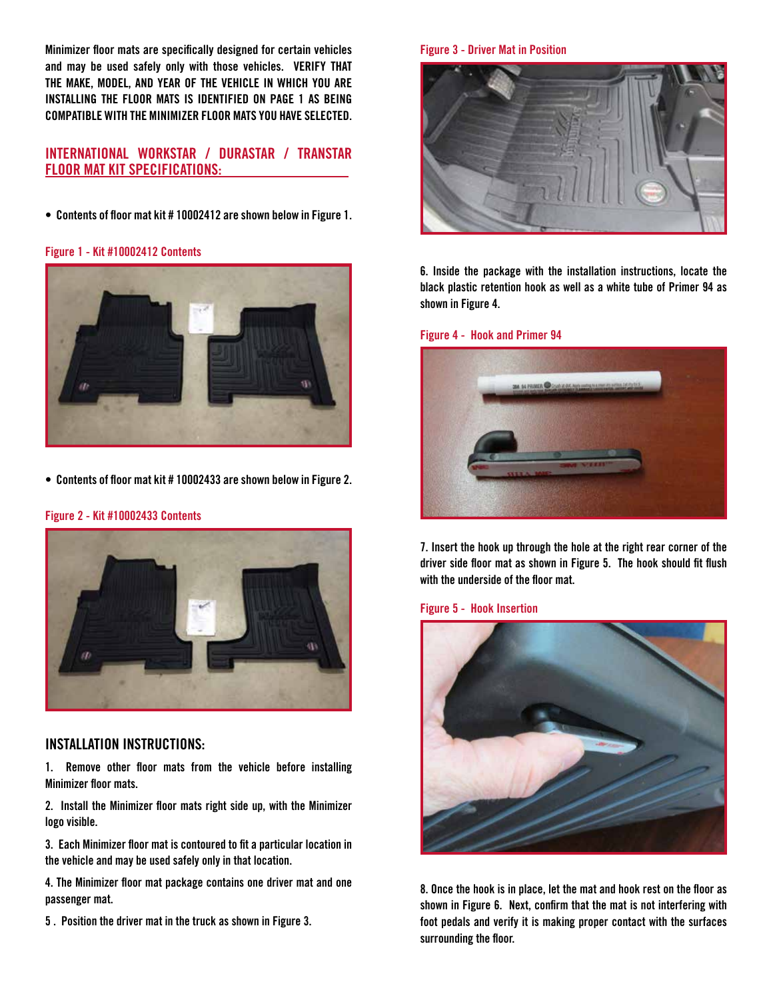**Minimizer floor mats are specifically designed for certain vehicles and may be used safely only with those vehicles. VERIFY THAT THE MAKE, MODEL, AND YEAR OF THE VEHICLE IN WHICH YOU ARE INSTALLING THE FLOOR MATS IS IDENTIFIED ON PAGE 1 AS BEING COMPATIBLE WITH THE MINIMIZER FLOOR MATS YOU HAVE SELECTED.** 

# **INTERNATIONAL WORKSTAR / DURASTAR / TRANSTAR FLOOR MAT KIT SPECIFICATIONS:**

**• Contents of floor mat kit # 10002412 are shown below in Figure 1.** 

#### **Figure 1 - Kit #10002412 Contents**



**• Contents of floor mat kit # 10002433 are shown below in Figure 2.** 

## **Figure 2 - Kit #10002433 Contents**



## **INSTALLATION INSTRUCTIONS:**

**1. Remove other floor mats from the vehicle before installing Minimizer floor mats.**

**2. Install the Minimizer floor mats right side up, with the Minimizer logo visible.**

**3. Each Minimizer floor mat is contoured to fit a particular location in the vehicle and may be used safely only in that location.** 

**4. The Minimizer floor mat package contains one driver mat and one passenger mat.** 

**5 . Position the driver mat in the truck as shown in Figure 3.**

#### **Figure 3 - Driver Mat in Position**



**6. Inside the package with the installation instructions, locate the black plastic retention hook as well as a white tube of Primer 94 as shown in Figure 4.** 

#### **Figure 4 - Hook and Primer 94**



**7. Insert the hook up through the hole at the right rear corner of the driver side floor mat as shown in Figure 5. The hook should fit flush with the underside of the floor mat.** 

#### **Figure 5 - Hook Insertion**



**8. Once the hook is in place, let the mat and hook rest on the floor as shown in Figure 6. Next, confirm that the mat is not interfering with foot pedals and verify it is making proper contact with the surfaces surrounding the floor.**